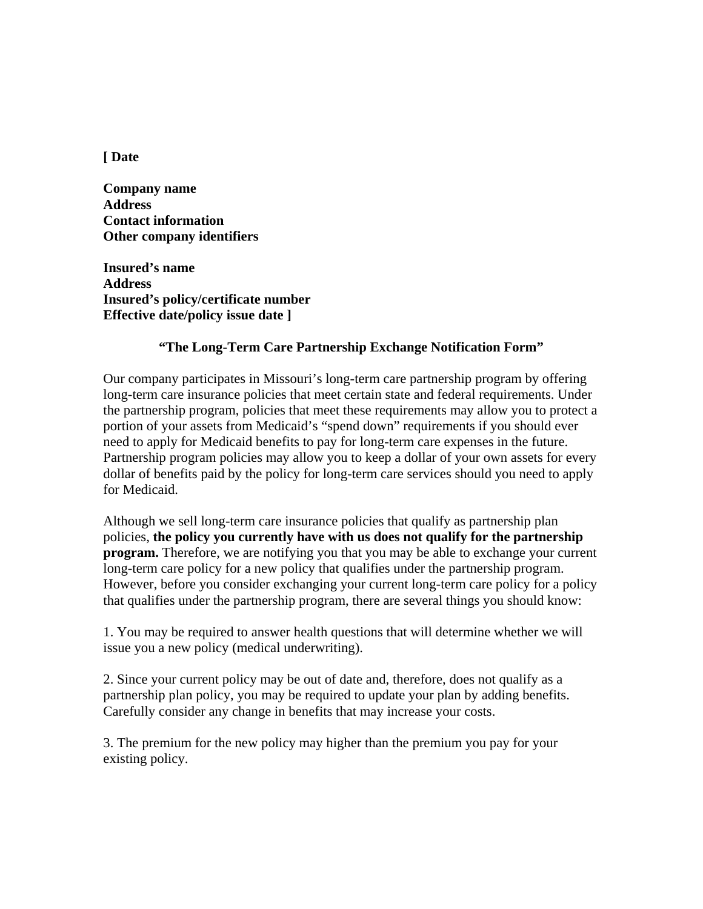**[ Date** 

**Company name Address Contact information Other company identifiers** 

**Insured's name Address Insured's policy/certificate number Effective date/policy issue date ]** 

## **"The Long-Term Care Partnership Exchange Notification Form"**

Our company participates in Missouri's long-term care partnership program by offering long-term care insurance policies that meet certain state and federal requirements. Under the partnership program, policies that meet these requirements may allow you to protect a portion of your assets from Medicaid's "spend down" requirements if you should ever need to apply for Medicaid benefits to pay for long-term care expenses in the future. Partnership program policies may allow you to keep a dollar of your own assets for every dollar of benefits paid by the policy for long-term care services should you need to apply for Medicaid.

Although we sell long-term care insurance policies that qualify as partnership plan policies, **the policy you currently have with us does not qualify for the partnership program.** Therefore, we are notifying you that you may be able to exchange your current long-term care policy for a new policy that qualifies under the partnership program. However, before you consider exchanging your current long-term care policy for a policy that qualifies under the partnership program, there are several things you should know:

1. You may be required to answer health questions that will determine whether we will issue you a new policy (medical underwriting).

2. Since your current policy may be out of date and, therefore, does not qualify as a partnership plan policy, you may be required to update your plan by adding benefits. Carefully consider any change in benefits that may increase your costs.

3. The premium for the new policy may higher than the premium you pay for your existing policy.